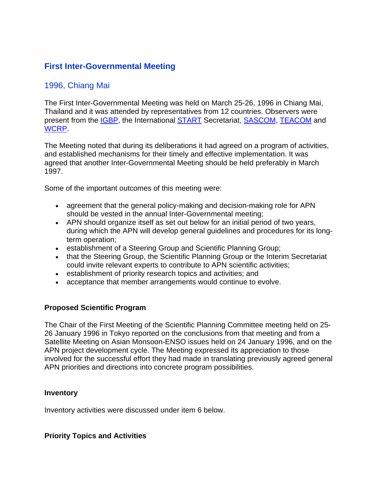# **First Inter-Governmental Meeting**

## 1996, Chiang Mai

The First Inter-Governmental Meeting was held on March 25-26, 1996 in Chiang Mai, Thailand and it was attended by representatives from 12 countries. Observers were present from the IGBP, the International START Secretariat, SASCOM, TEACOM and WCRP.

The Meeting noted that during its deliberations it had agreed on a program of activities, and established mechanisms for their timely and effective implementation. It was agreed that another Inter-Governmental Meeting should be held preferably in March 1997.

Some of the important outcomes of this meeting were:

- agreement that the general policy-making and decision-making role for APN should be vested in the annual Inter-Governmental meeting;
- APN should organize itself as set out below for an initial period of two years, during which the APN will develop general guidelines and procedures for its longterm operation;
- establishment of a Steering Group and Scientific Planning Group;
- that the Steering Group, the Scientific Planning Group or the Interim Secretariat could invite relevant experts to contribute to APN scientific activities;
- establishment of priority research topics and activities; and
- acceptance that member arrangements would continue to evolve.

#### **Proposed Scientific Program**

The Chair of the First Meeting of the Scientific Planning Committee meeting held on 25- 26 January 1996 in Tokyo reported on the conclusions from that meeting and from a Satellite Meeting on Asian Monsoon-ENSO issues held on 24 January 1996, and on the APN project development cycle. The Meeting expressed its appreciation to those involved for the successful effort they had made in translating previously agreed general APN priorities and directions into concrete program possibilities.

#### **Inventory**

Inventory activities were discussed under item 6 below.

#### **Priority Topics and Activities**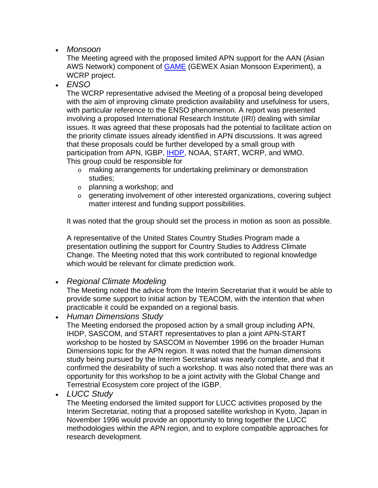• *Monsoon*

The Meeting agreed with the proposed limited APN support for the AAN (Asian AWS Network) component of **GAME** (GEWEX Asian Monsoon Experiment), a WCRP project.

• *ENSO*

The WCRP representative advised the Meeting of a proposal being developed with the aim of improving climate prediction availability and usefulness for users, with particular reference to the ENSO phenomenon. A report was presented involving a proposed International Research Institute (IRI) dealing with similar issues. It was agreed that these proposals had the potential to facilitate action on the priority climate issues already identified in APN discussions. It was agreed that these proposals could be further developed by a small group with participation from APN, IGBP, **IHDP, NOAA, START, WCRP**, and WMO. This group could be responsible for

- o making arrangements for undertaking preliminary or demonstration studies;
- o planning a workshop; and
- o generating involvement of other interested organizations, covering subject matter interest and funding support possibilities.

It was noted that the group should set the process in motion as soon as possible.

A representative of the United States Country Studies Program made a presentation outlining the support for Country Studies to Address Climate Change. The Meeting noted that this work contributed to regional knowledge which would be relevant for climate prediction work.

### • *Regional Climate Modeling*

The Meeting noted the advice from the Interim Secretariat that it would be able to provide some support to initial action by TEACOM, with the intention that when practicable it could be expanded on a regional basis.

• *Human Dimensions Study*

The Meeting endorsed the proposed action by a small group including APN, IHDP, SASCOM, and START representatives to plan a joint APN-START workshop to be hosted by SASCOM in November 1996 on the broader Human Dimensions topic for the APN region. It was noted that the human dimensions study being pursued by the Interim Secretariat was nearly complete, and that it confirmed the desirability of such a workshop. It was also noted that there was an opportunity for this workshop to be a joint activity with the Global Change and Terrestrial Ecosystem core project of the IGBP.

• *LUCC Study*

The Meeting endorsed the limited support for LUCC activities proposed by the Interim Secretariat, noting that a proposed satellite workshop in Kyoto, Japan in November 1996 would provide an opportunity to bring together the LUCC methodologies within the APN region, and to explore compatible approaches for research development.